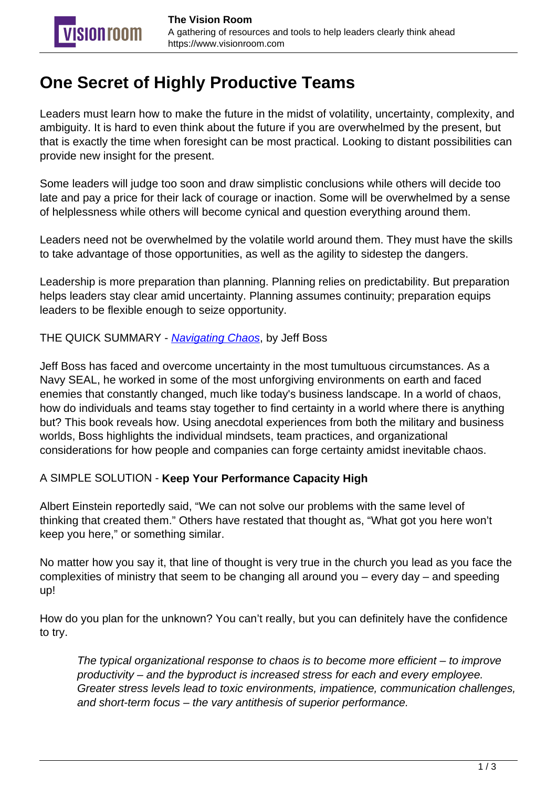## **One Secret of Highly Productive Teams**

Leaders must learn how to make the future in the midst of volatility, uncertainty, complexity, and ambiguity. It is hard to even think about the future if you are overwhelmed by the present, but that is exactly the time when foresight can be most practical. Looking to distant possibilities can provide new insight for the present.

Some leaders will judge too soon and draw simplistic conclusions while others will decide too late and pay a price for their lack of courage or inaction. Some will be overwhelmed by a sense of helplessness while others will become cynical and question everything around them.

Leaders need not be overwhelmed by the volatile world around them. They must have the skills to take advantage of those opportunities, as well as the agility to sidestep the dangers.

Leadership is more preparation than planning. Planning relies on predictability. But preparation helps leaders stay clear amid uncertainty. Planning assumes continuity; preparation equips leaders to be flexible enough to seize opportunity.

THE QUICK SUMMARY - [Navigating Chaos](http://amzn.to/2y6dJvi), by Jeff Boss

Jeff Boss has faced and overcome uncertainty in the most tumultuous circumstances. As a Navy SEAL, he worked in some of the most unforgiving environments on earth and faced enemies that constantly changed, much like today's business landscape. In a world of chaos, how do individuals and teams stay together to find certainty in a world where there is anything but? This book reveals how. Using anecdotal experiences from both the military and business worlds, Boss highlights the individual mindsets, team practices, and organizational considerations for how people and companies can forge certainty amidst inevitable chaos.

## A SIMPLE SOLUTION - **Keep Your Performance Capacity High**

Albert Einstein reportedly said, "We can not solve our problems with the same level of thinking that created them." Others have restated that thought as, "What got you here won't keep you here," or something similar.

No matter how you say it, that line of thought is very true in the church you lead as you face the complexities of ministry that seem to be changing all around you – every day – and speeding up!

How do you plan for the unknown? You can't really, but you can definitely have the confidence to try.

The typical organizational response to chaos is to become more efficient – to improve productivity – and the byproduct is increased stress for each and every employee. Greater stress levels lead to toxic environments, impatience, communication challenges, and short-term focus – the vary antithesis of superior performance.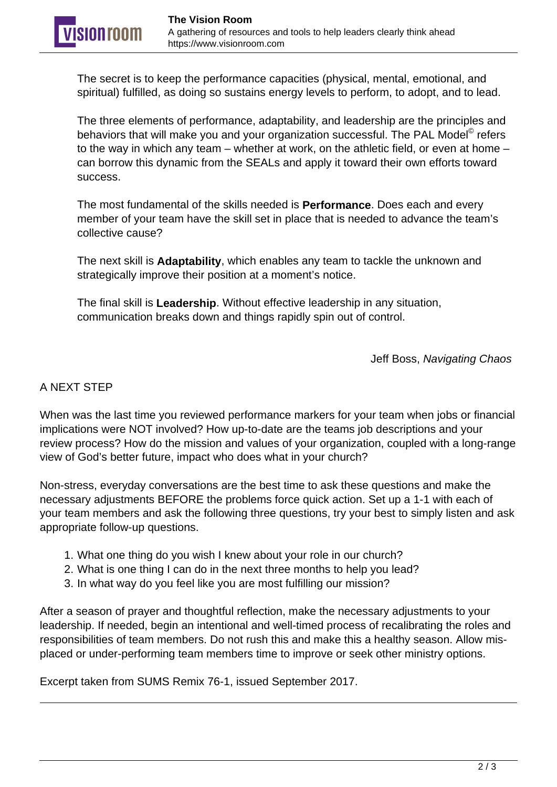The secret is to keep the performance capacities (physical, mental, emotional, and spiritual) fulfilled, as doing so sustains energy levels to perform, to adopt, and to lead.

The three elements of performance, adaptability, and leadership are the principles and behaviors that will make you and your organization successful. The PAL Model<sup>©</sup> refers to the way in which any team – whether at work, on the athletic field, or even at home – can borrow this dynamic from the SEALs and apply it toward their own efforts toward success.

The most fundamental of the skills needed is **Performance**. Does each and every member of your team have the skill set in place that is needed to advance the team's collective cause?

The next skill is **Adaptability**, which enables any team to tackle the unknown and strategically improve their position at a moment's notice.

The final skill is **Leadership**. Without effective leadership in any situation, communication breaks down and things rapidly spin out of control.

Jeff Boss, Navigating Chaos

## A NEXT STEP

When was the last time you reviewed performance markers for your team when jobs or financial implications were NOT involved? How up-to-date are the teams job descriptions and your review process? How do the mission and values of your organization, coupled with a long-range view of God's better future, impact who does what in your church?

Non-stress, everyday conversations are the best time to ask these questions and make the necessary adjustments BEFORE the problems force quick action. Set up a 1-1 with each of your team members and ask the following three questions, try your best to simply listen and ask appropriate follow-up questions.

- 1. What one thing do you wish I knew about your role in our church?
- 2. What is one thing I can do in the next three months to help you lead?
- 3. In what way do you feel like you are most fulfilling our mission?

After a season of prayer and thoughtful reflection, make the necessary adjustments to your leadership. If needed, begin an intentional and well-timed process of recalibrating the roles and responsibilities of team members. Do not rush this and make this a healthy season. Allow misplaced or under-performing team members time to improve or seek other ministry options.

Excerpt taken from SUMS Remix 76-1, issued September 2017.